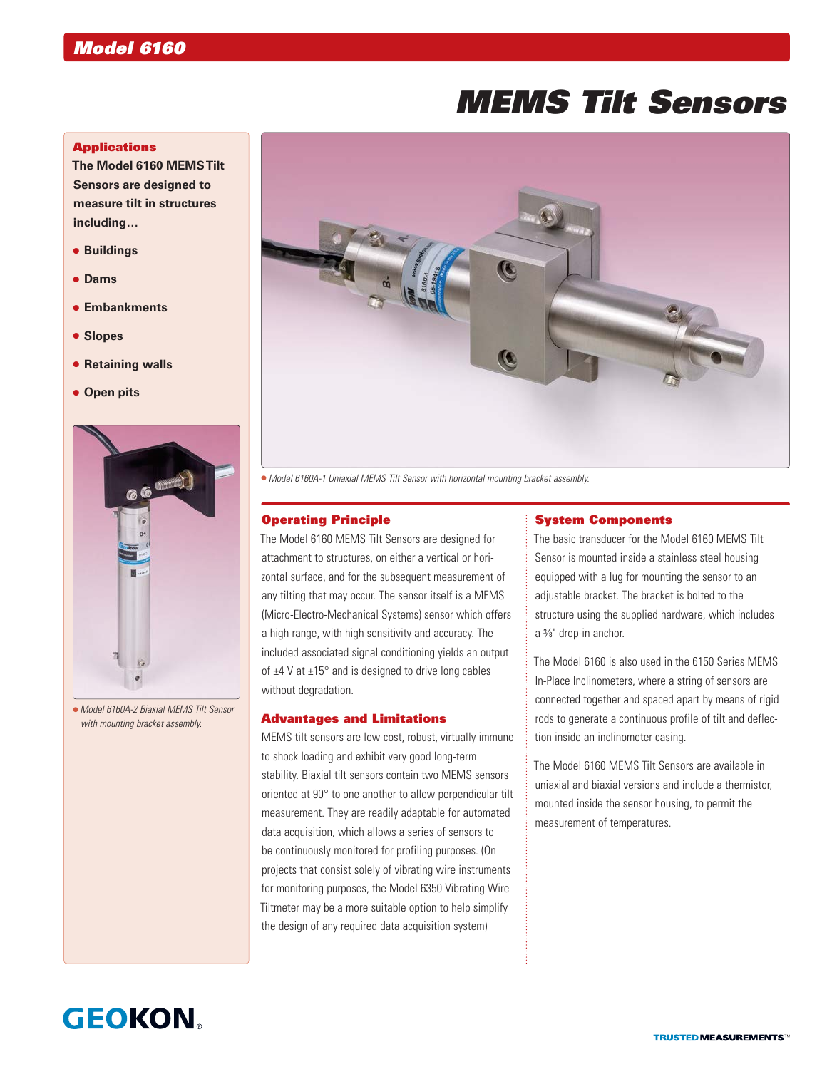# *MEMS Tilt Sensors*

#### **Applications**

**The Model 6160 MEMS Tilt Sensors are designed to measure tilt in structures including…**

- **Buildings**
- **Dams**
- **Embankments**
- **Slopes**
- **Retaining walls**
- **Open pits**



 *Model 6160A-2 Biaxial MEMS Tilt Sensor with mounting bracket assembly.*



*Model 6160A-1 Uniaxial MEMS Tilt Sensor with horizontal mounting bracket assembly.*

#### Operating Principle

The Model 6160 MEMS Tilt Sensors are designed for attachment to structures, on either a vertical or horizontal surface, and for the subsequent measurement of any tilting that may occur. The sensor itself is a MEMS (Micro-Electro-Mechanical Systems) sensor which offers a high range, with high sensitivity and accuracy. The included associated signal conditioning yields an output of  $\pm$ 4 V at  $\pm$ 15 $^{\circ}$  and is designed to drive long cables without degradation.

#### Advantages and Limitations

MEMS tilt sensors are low-cost, robust, virtually immune to shock loading and exhibit very good long-term stability. Biaxial tilt sensors contain two MEMS sensors oriented at 90° to one another to allow perpendicular tilt measurement. They are readily adaptable for automated data acquisition, which allows a series of sensors to be continuously monitored for profiling purposes. (On projects that consist solely of vibrating wire instruments for monitoring purposes, the Model 6350 Vibrating Wire Tiltmeter may be a more suitable option to help simplify the design of any required data acquisition system)

#### System Components

The basic transducer for the Model 6160 MEMS Tilt Sensor is mounted inside a stainless steel housing equipped with a lug for mounting the sensor to an adjustable bracket. The bracket is bolted to the structure using the supplied hardware, which includes a 3 ⁄8" drop-in anchor.

The Model 6160 is also used in the 6150 Series MEMS In-Place Inclinometers, where a string of sensors are connected together and spaced apart by means of rigid rods to generate a continuous profile of tilt and deflection inside an inclinometer casing.

The Model 6160 MEMS Tilt Sensors are available in uniaxial and biaxial versions and include a thermistor, mounted inside the sensor housing, to permit the measurement of temperatures.

## **GEOKON**